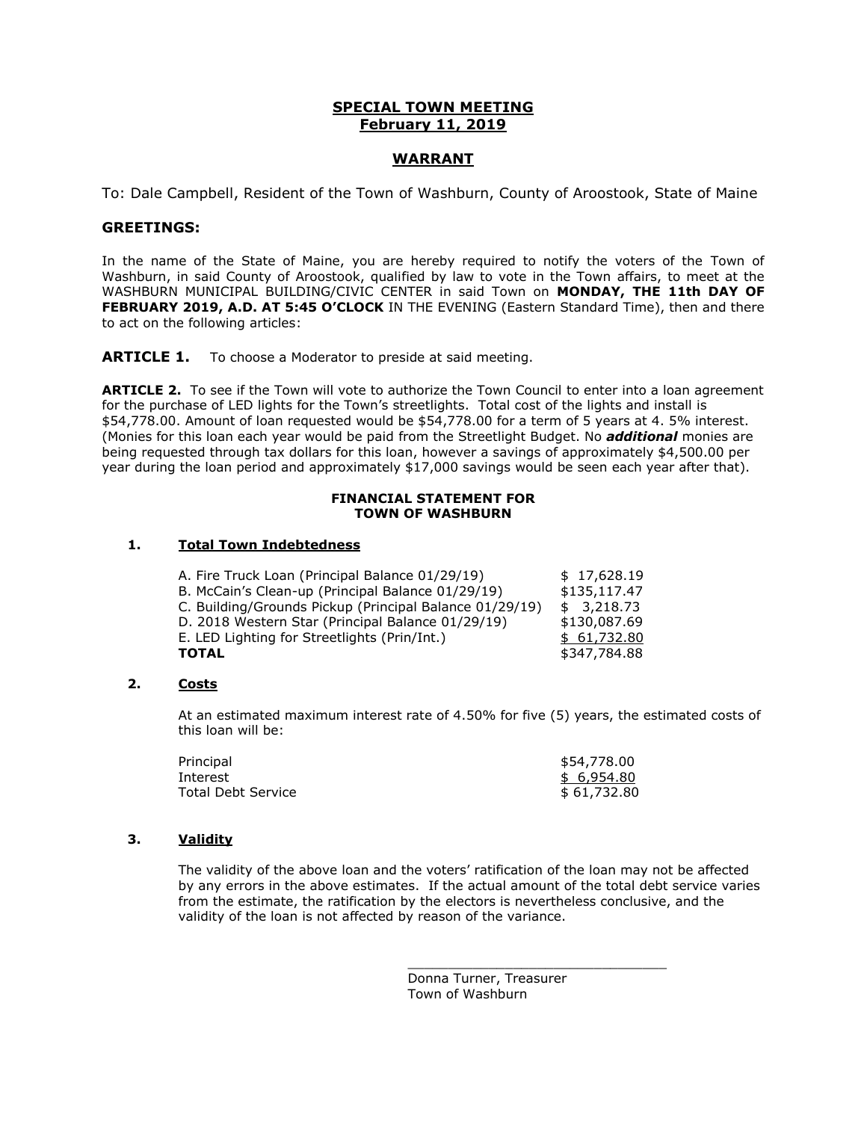# **SPECIAL TOWN MEETING February 11, 2019**

# **WARRANT**

To: Dale Campbell, Resident of the Town of Washburn, County of Aroostook, State of Maine

#### **GREETINGS:**

In the name of the State of Maine, you are hereby required to notify the voters of the Town of Washburn, in said County of Aroostook, qualified by law to vote in the Town affairs, to meet at the WASHBURN MUNICIPAL BUILDING/CIVIC CENTER in said Town on **MONDAY, THE 11th DAY OF FEBRUARY 2019, A.D. AT 5:45 O'CLOCK** IN THE EVENING (Eastern Standard Time), then and there to act on the following articles:

**ARTICLE 1.** To choose a Moderator to preside at said meeting.

**ARTICLE 2.** To see if the Town will vote to authorize the Town Council to enter into a loan agreement for the purchase of LED lights for the Town's streetlights. Total cost of the lights and install is \$54,778.00. Amount of loan requested would be \$54,778.00 for a term of 5 years at 4. 5% interest. (Monies for this loan each year would be paid from the Streetlight Budget. No *additional* monies are being requested through tax dollars for this loan, however a savings of approximately \$4,500.00 per year during the loan period and approximately \$17,000 savings would be seen each year after that).

#### **FINANCIAL STATEMENT FOR TOWN OF WASHBURN**

## **1. Total Town Indebtedness**

| \$17,628.19  |
|--------------|
| \$135,117.47 |
| \$3,218,73   |
| \$130,087.69 |
| \$61,732.80  |
| \$347,784,88 |
|              |

# **2. Costs**

At an estimated maximum interest rate of 4.50% for five (5) years, the estimated costs of this loan will be:

| Principal          | \$54,778.00 |
|--------------------|-------------|
| Interest           | \$ 6,954.80 |
| Total Debt Service | \$61,732.80 |

## **3. Validity**

The validity of the above loan and the voters' ratification of the loan may not be affected by any errors in the above estimates. If the actual amount of the total debt service varies from the estimate, the ratification by the electors is nevertheless conclusive, and the validity of the loan is not affected by reason of the variance.

> Donna Turner, Treasurer Town of Washburn

\_\_\_\_\_\_\_\_\_\_\_\_\_\_\_\_\_\_\_\_\_\_\_\_\_\_\_\_\_\_\_\_